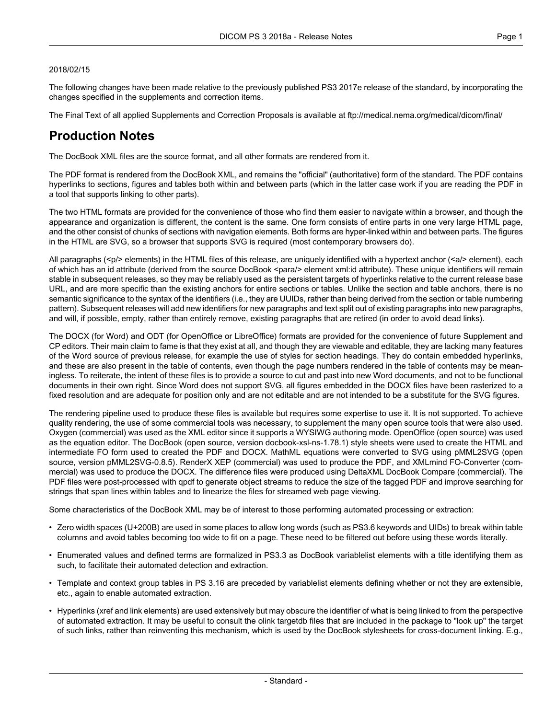#### 2018/02/15

The following changes have been made relative to the previously published PS3 2017e release of the standard, by incorporating the changes specified in the supplements and correction items.

The Final Text of all applied Supplements and Correction Proposals is available at <ftp://medical.nema.org/medical/dicom/final/>

# **Production Notes**

The DocBook XML files are the source format, and all other formats are rendered from it.

The PDF format is rendered from the DocBook XML, and remains the "official" (authoritative) form of the standard. The PDF contains hyperlinks to sections, figures and tables both within and between parts (which in the latter case work if you are reading the PDF in a tool that supports linking to other parts).

The two HTML formats are provided for the convenience of those who find them easier to navigate within a browser, and though the appearance and organization is different, the content is the same. One form consists of entire parts in one very large HTML page, and the other consist of chunks of sections with navigation elements. Both forms are hyper-linked within and between parts. The figures in the HTML are SVG, so a browser that supports SVG is required (most contemporary browsers do).

All paragraphs (<p/> elements) in the HTML files of this release, are uniquely identified with a hypertext anchor (<a/><a/>> element), each of which has an id attribute (derived from the source DocBook <para/> element xml:id attribute). These unique identifiers will remain stable in subsequent releases, so they may be reliably used as the persistent targets of hyperlinks relative to the current release base URL, and are more specific than the existing anchors for entire sections or tables. Unlike the section and table anchors, there is no semantic significance to the syntax of the identifiers (i.e., they are UUIDs, rather than being derived from the section or table numbering pattern). Subsequent releases will add new identifiers for new paragraphs and text split out of existing paragraphs into new paragraphs, and will, if possible, empty, rather than entirely remove, existing paragraphs that are retired (in order to avoid dead links).

The DOCX (for Word) and ODT (for OpenOffice or LibreOffice) formats are provided for the convenience of future Supplement and CP editors. Their main claim to fame is that they exist at all, and though they are viewable and editable, they are lacking many features of the Word source of previous release, for example the use of styles for section headings. They do contain embedded hyperlinks, and these are also present in the table of contents, even though the page numbers rendered in the table of contents may be mean ingless. To reiterate, the intent of these files is to provide a source to cut and past into new Word documents, and not to be functional documents in their own right. Since Word does not support SVG, all figures embedded in the DOCX files have been rasterized to a fixed resolution and are adequate for position only and are not editable and are not intended to be a substitute for the SVG figures.

The rendering pipeline used to produce these files is available but requires some expertise to use it. It is not supported. To achieve quality rendering, the use of some commercial tools was necessary, to supplement the many open source tools that were also used. Oxygen (commercial) was used as the XML editor since it supports a WYSIWG authoring mode. OpenOffice (open source) was used as the equation editor. The DocBook (open source, version docbook-xsl-ns-1.78.1) style sheets were used to create the HTML and intermediate FO form used to created the PDF and DOCX. MathML equations were converted to SVG using pMML2SVG (open source, version pMML2SVG-0.8.5). RenderX XEP (commercial) was used to produce the PDF, and XMLmind FO-Converter (com mercial) was used to produce the DOCX. The difference files were produced using DeltaXML DocBook Compare (commercial). The PDF files were post-processed with qpdf to generate object streams to reduce the size of the tagged PDF and improve searching for strings that span lines within tables and to linearize the files for streamed web page viewing.

Some characteristics of the DocBook XML may be of interest to those performing automated processing or extraction:

- Zero width spaces (U+200B) are used in some places to allow long words (such as PS3.6 keywords and UIDs) to break within table columns and avoid tables becoming too wide to fit on a page. These need to be filtered out before using these words literally.
- Enumerated values and defined terms are formalized in PS3.3 as DocBook variablelist elements with a title identifying them as such, to facilitate their automated detection and extraction.
- Template and context group tables in PS 3.16 are preceded by variablelist elements defining whether or not they are extensible, etc., again to enable automated extraction.
- Hyperlinks (xref and link elements) are used extensively but may obscure the identifier of what is being linked to from the perspective of automated extraction. It may be useful to consult the olink targetdb files that are included in the package to "look up" the target of such links, rather than reinventing this mechanism, which is used by the DocBook stylesheets for cross-document linking. E.g.,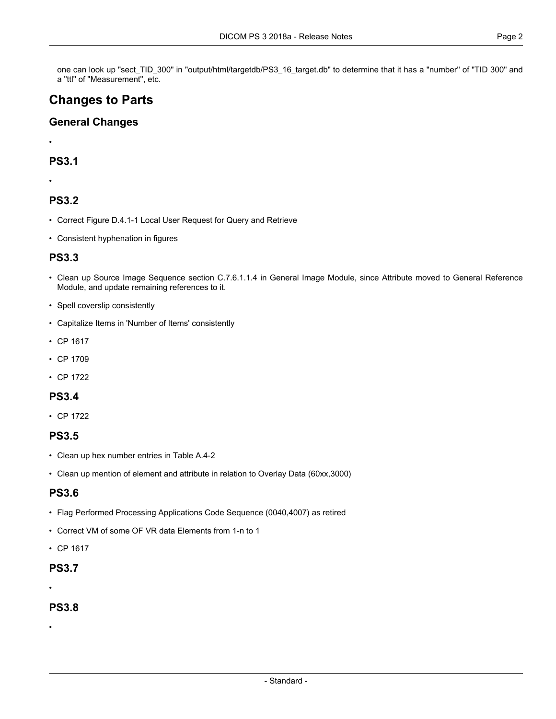one can look up "sect\_TID\_300" in "output/html/targetdb/PS3\_16\_target.db" to determine that it has a "number" of "TID 300" and a "ttl" of "Measurement", etc.

# **Changes to Parts**

#### **General Changes**

•

#### **PS3.1**

•

## **PS3.2**

- Correct Figure D.4.1-1 Local User Request for Query and Retrieve
- Consistent hyphenation in figures

#### **PS3.3**

- Clean up Source Image Sequence section C.7.6.1.1.4 in General Image Module, since Attribute moved to General Reference Module, and update remaining references to it.
- Spell coverslip consistently
- Capitalize Items in 'Number of Items' consistently
- CP [1617](#page-3-0)
- CP [1709](#page-3-1)
- CP [1722](#page-3-2)

#### **PS3.4**

• CP [1722](#page-3-2)

# **PS3.5**

- Clean up hex number entries in Table A.4-2
- Clean up mention of element and attribute in relation to Overlay Data (60xx,3000)

### **PS3.6**

- Flag Performed Processing Applications Code Sequence (0040,4007) as retired
- Correct VM of some OF VR data Elements from 1-n to 1
- CP [1617](#page-3-0)

#### **PS3.7**

•

#### **PS3.8**

•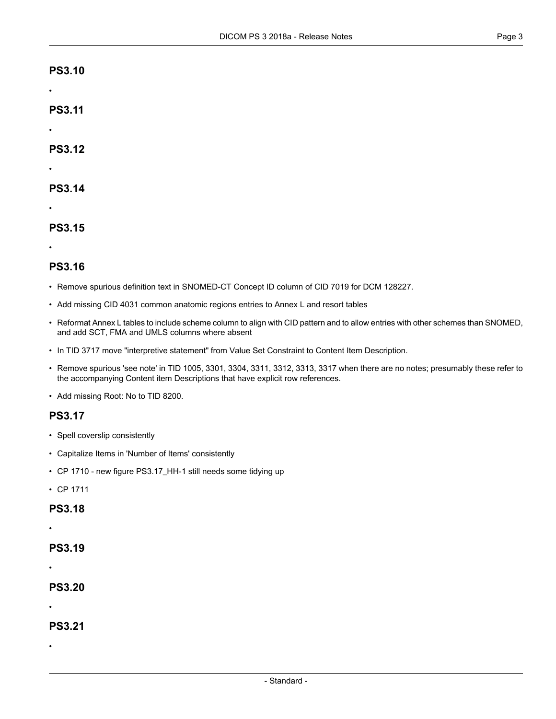#### **PS3.10**

•

•

•

**PS3.11**

**PS3.12**

#### **PS3.14**

•

# **PS3.15**

•

## **PS3.16**

- Remove spurious definition text in SNOMED-CT Concept ID column of CID 7019 for DCM 128227.
- Add missing CID 4031 common anatomic regions entries to Annex L and resort tables
- Reformat Annex L tables to include scheme column to align with CID pattern and to allow entries with other schemes than SNOMED, and add SCT, FMA and UMLS columns where absent
- In TID 3717 move "interpretive statement" from Value Set Constraint to Content Item Description.
- Remove spurious 'see note' in TID 1005, 3301, 3304, 3311, 3312, 3313, 3317 when there are no notes; presumably these refer to the accompanying Content item Descriptions that have explicit row references.
- Add missing Root: No to TID 8200.

### **PS3.17**

- Spell coverslip consistently
- Capitalize Items in 'Number of Items' consistently
- CP [1710](#page-3-3) new figure PS3.17\_HH-1 still needs some tidying up
- CP [1711](#page-3-4)

#### **PS3.18**

•

## **PS3.19**

•

# **PS3.20**

•

## **PS3.21**

•